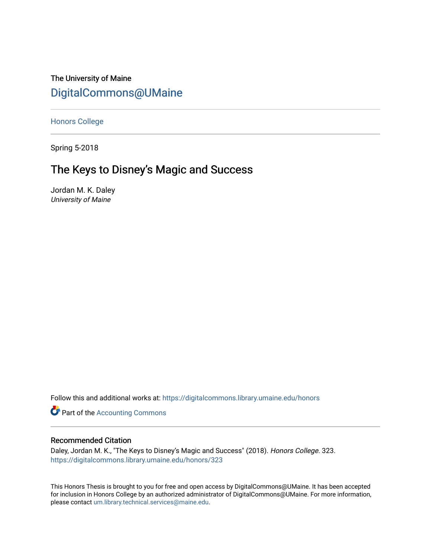The University of Maine [DigitalCommons@UMaine](https://digitalcommons.library.umaine.edu/)

[Honors College](https://digitalcommons.library.umaine.edu/honors)

Spring 5-2018

# The Keys to Disney's Magic and Success

Jordan M. K. Daley University of Maine

Follow this and additional works at: [https://digitalcommons.library.umaine.edu/honors](https://digitalcommons.library.umaine.edu/honors?utm_source=digitalcommons.library.umaine.edu%2Fhonors%2F323&utm_medium=PDF&utm_campaign=PDFCoverPages) 

**Part of the [Accounting Commons](http://network.bepress.com/hgg/discipline/625?utm_source=digitalcommons.library.umaine.edu%2Fhonors%2F323&utm_medium=PDF&utm_campaign=PDFCoverPages)** 

#### Recommended Citation

Daley, Jordan M. K., "The Keys to Disney's Magic and Success" (2018). Honors College. 323. [https://digitalcommons.library.umaine.edu/honors/323](https://digitalcommons.library.umaine.edu/honors/323?utm_source=digitalcommons.library.umaine.edu%2Fhonors%2F323&utm_medium=PDF&utm_campaign=PDFCoverPages) 

This Honors Thesis is brought to you for free and open access by DigitalCommons@UMaine. It has been accepted for inclusion in Honors College by an authorized administrator of DigitalCommons@UMaine. For more information, please contact [um.library.technical.services@maine.edu.](mailto:um.library.technical.services@maine.edu)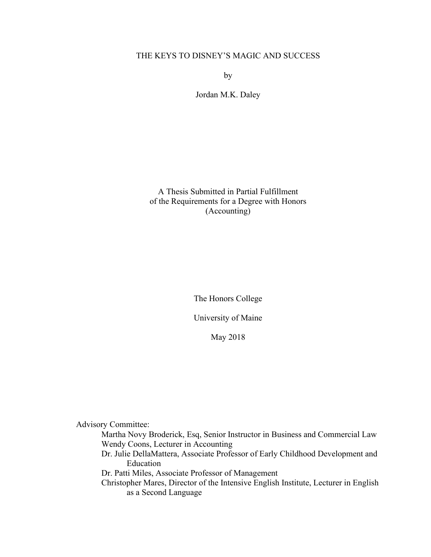## THE KEYS TO DISNEY'S MAGIC AND SUCCESS

by

Jordan M.K. Daley

A Thesis Submitted in Partial Fulfillment of the Requirements for a Degree with Honors (Accounting)

The Honors College

University of Maine

May 2018

Advisory Committee:

Martha Novy Broderick, Esq, Senior Instructor in Business and Commercial Law Wendy Coons, Lecturer in Accounting

Dr. Julie DellaMattera, Associate Professor of Early Childhood Development and Education

Dr. Patti Miles, Associate Professor of Management

Christopher Mares, Director of the Intensive English Institute, Lecturer in English as a Second Language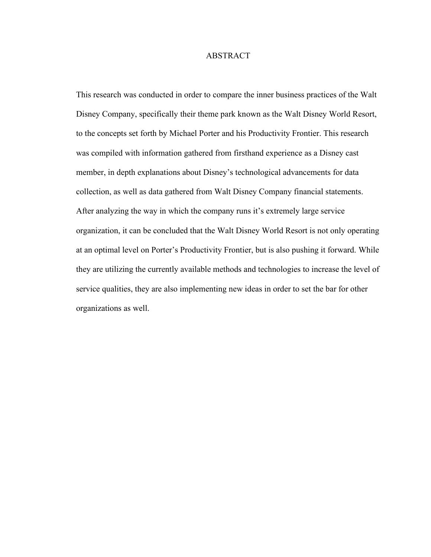#### ABSTRACT

This research was conducted in order to compare the inner business practices of the Walt Disney Company, specifically their theme park known as the Walt Disney World Resort, to the concepts set forth by Michael Porter and his Productivity Frontier. This research was compiled with information gathered from firsthand experience as a Disney cast member, in depth explanations about Disney's technological advancements for data collection, as well as data gathered from Walt Disney Company financial statements. After analyzing the way in which the company runs it's extremely large service organization, it can be concluded that the Walt Disney World Resort is not only operating at an optimal level on Porter's Productivity Frontier, but is also pushing it forward. While they are utilizing the currently available methods and technologies to increase the level of service qualities, they are also implementing new ideas in order to set the bar for other organizations as well.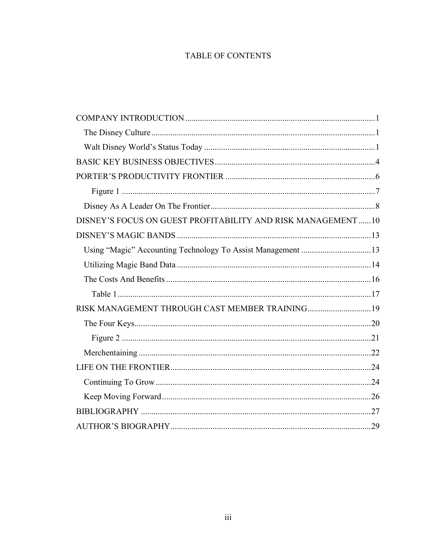## TABLE OF CONTENTS

| DISNEY'S FOCUS ON GUEST PROFITABILITY AND RISK MANAGEMENT10 |  |
|-------------------------------------------------------------|--|
|                                                             |  |
|                                                             |  |
|                                                             |  |
|                                                             |  |
|                                                             |  |
| RISK MANAGEMENT THROUGH CAST MEMBER TRAINING 19             |  |
|                                                             |  |
|                                                             |  |
|                                                             |  |
|                                                             |  |
|                                                             |  |
|                                                             |  |
|                                                             |  |
|                                                             |  |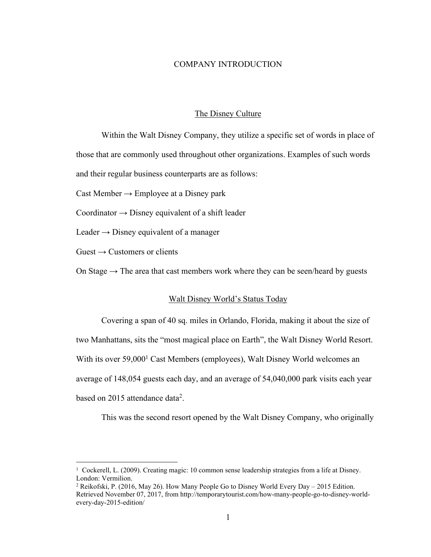#### COMPANY INTRODUCTION

#### The Disney Culture

Within the Walt Disney Company, they utilize a specific set of words in place of those that are commonly used throughout other organizations. Examples of such words and their regular business counterparts are as follows:

Cast Member  $\rightarrow$  Employee at a Disney park

Coordinator  $\rightarrow$  Disney equivalent of a shift leader

Leader  $\rightarrow$  Disney equivalent of a manager

 $Guest \rightarrow Customers$  or clients

On Stage  $\rightarrow$  The area that cast members work where they can be seen/heard by guests

#### Walt Disney World's Status Today

Covering a span of 40 sq. miles in Orlando, Florida, making it about the size of two Manhattans, sits the "most magical place on Earth", the Walt Disney World Resort. With its over 59,000<sup>1</sup> Cast Members (employees), Walt Disney World welcomes an average of 148,054 guests each day, and an average of 54,040,000 park visits each year based on 2015 attendance data<sup>2</sup>.

This was the second resort opened by the Walt Disney Company, who originally

 <sup>1</sup> Cockerell, L. (2009). Creating magic: 10 common sense leadership strategies from a life at Disney. London: Vermilion.

<sup>2</sup> Reikofski, P. (2016, May 26). How Many People Go to Disney World Every Day – 2015 Edition. Retrieved November 07, 2017, from http://temporarytourist.com/how-many-people-go-to-disney-worldevery-day-2015-edition/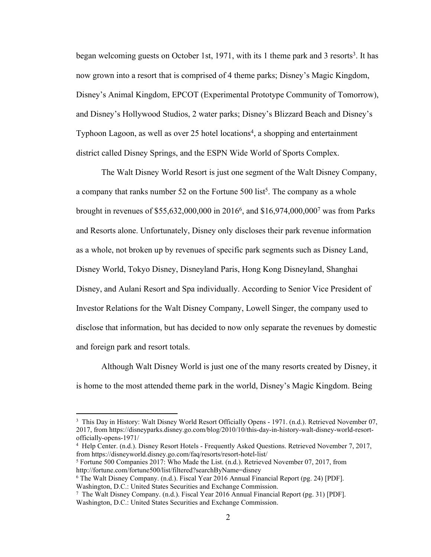began welcoming guests on October 1st, 1971, with its 1 theme park and 3 resorts<sup>3</sup>. It has now grown into a resort that is comprised of 4 theme parks; Disney's Magic Kingdom, Disney's Animal Kingdom, EPCOT (Experimental Prototype Community of Tomorrow), and Disney's Hollywood Studios, 2 water parks; Disney's Blizzard Beach and Disney's Typhoon Lagoon, as well as over 25 hotel locations<sup>4</sup>, a shopping and entertainment district called Disney Springs, and the ESPN Wide World of Sports Complex.

The Walt Disney World Resort is just one segment of the Walt Disney Company, a company that ranks number 52 on the Fortune  $500$  list<sup>5</sup>. The company as a whole brought in revenues of \$55,632,000,000 in 20166, and \$16,974,000,0007 was from Parks and Resorts alone. Unfortunately, Disney only discloses their park revenue information as a whole, not broken up by revenues of specific park segments such as Disney Land, Disney World, Tokyo Disney, Disneyland Paris, Hong Kong Disneyland, Shanghai Disney, and Aulani Resort and Spa individually. According to Senior Vice President of Investor Relations for the Walt Disney Company, Lowell Singer, the company used to disclose that information, but has decided to now only separate the revenues by domestic and foreign park and resort totals.

Although Walt Disney World is just one of the many resorts created by Disney, it is home to the most attended theme park in the world, Disney's Magic Kingdom. Being

<sup>&</sup>lt;sup>3</sup> This Day in History: Walt Disney World Resort Officially Opens - 1971. (n.d.). Retrieved November 07, 2017, from https://disneyparks.disney.go.com/blog/2010/10/this-day-in-history-walt-disney-world-resortofficially-opens-1971/

<sup>4</sup> Help Center. (n.d.). Disney Resort Hotels - Frequently Asked Questions. Retrieved November 7, 2017, from https://disneyworld.disney.go.com/faq/resorts/resort-hotel-list/

<sup>5</sup> Fortune 500 Companies 2017: Who Made the List. (n.d.). Retrieved November 07, 2017, from http://fortune.com/fortune500/list/filtered?searchByName=disney

<sup>6</sup> The Walt Disney Company. (n.d.). Fiscal Year 2016 Annual Financial Report (pg. 24) [PDF]. Washington, D.C.: United States Securities and Exchange Commission.

<sup>7</sup> The Walt Disney Company. (n.d.). Fiscal Year 2016 Annual Financial Report (pg. 31) [PDF]. Washington, D.C.: United States Securities and Exchange Commission.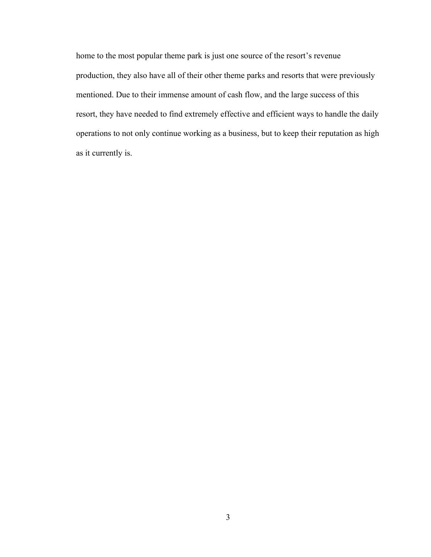home to the most popular theme park is just one source of the resort's revenue production, they also have all of their other theme parks and resorts that were previously mentioned. Due to their immense amount of cash flow, and the large success of this resort, they have needed to find extremely effective and efficient ways to handle the daily operations to not only continue working as a business, but to keep their reputation as high as it currently is.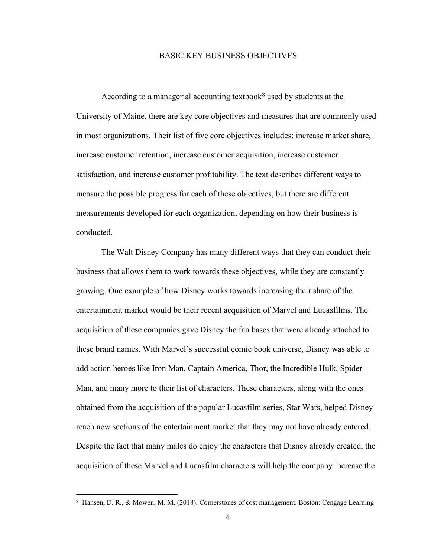#### BASIC KEY BUSINESS OBJECTIVES

According to a managerial accounting textbook<sup>8</sup> used by students at the University of Maine, there are key core objectives and measures that are commonly used in most organizations. Their list of five core objectives includes: increase market share, increase customer retention, increase customer acquisition, increase customer satisfaction, and increase customer profitability. The text describes different ways to measure the possible progress for each of these objectives, but there are different measurements developed for each organization, depending on how their business is conducted.

The Walt Disney Company has many different ways that they can conduct their business that allows them to work towards these objectives, while they are constantly growing. One example of how Disney works towards increasing their share of the entertainment market would be their recent acquisition of Marvel and Lucasfilms. The acquisition of these companies gave Disney the fan bases that were already attached to these brand names. With Marvel's successful comic book universe, Disney was able to add action heroes like Iron Man, Captain America, Thor, the Incredible Hulk, Spider-Man, and many more to their list of characters. These characters, along with the ones obtained from the acquisition of the popular Lucasfilm series, Star Wars, helped Disney reach new sections of the entertainment market that they may not have already entered. Despite the fact that many males do enjoy the characters that Disney already created, the acquisition of these Marvel and Lucasfilm characters will help the company increase the

 <sup>8</sup> Hansen, D. R., & Mowen, M. M. (2018). Cornerstones of cost management. Boston: Cengage Learning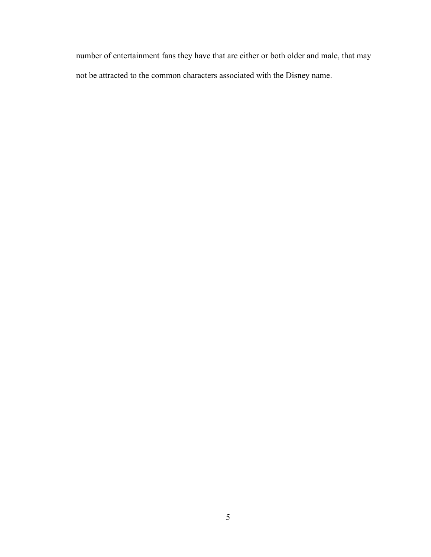number of entertainment fans they have that are either or both older and male, that may not be attracted to the common characters associated with the Disney name.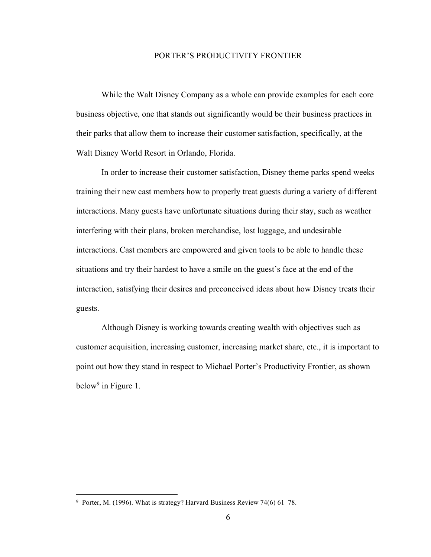#### PORTER'S PRODUCTIVITY FRONTIER

While the Walt Disney Company as a whole can provide examples for each core business objective, one that stands out significantly would be their business practices in their parks that allow them to increase their customer satisfaction, specifically, at the Walt Disney World Resort in Orlando, Florida.

In order to increase their customer satisfaction, Disney theme parks spend weeks training their new cast members how to properly treat guests during a variety of different interactions. Many guests have unfortunate situations during their stay, such as weather interfering with their plans, broken merchandise, lost luggage, and undesirable interactions. Cast members are empowered and given tools to be able to handle these situations and try their hardest to have a smile on the guest's face at the end of the interaction, satisfying their desires and preconceived ideas about how Disney treats their guests.

Although Disney is working towards creating wealth with objectives such as customer acquisition, increasing customer, increasing market share, etc., it is important to point out how they stand in respect to Michael Porter's Productivity Frontier, as shown below<sup>9</sup> in Figure 1.

 <sup>9</sup> Porter, M. (1996). What is strategy? Harvard Business Review 74(6) 61–78.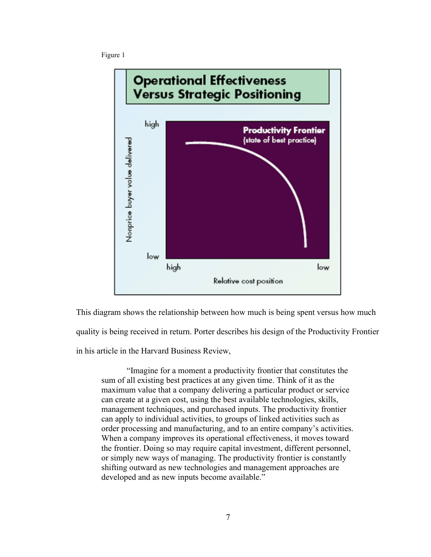



This diagram shows the relationship between how much is being spent versus how much quality is being received in return. Porter describes his design of the Productivity Frontier in his article in the Harvard Business Review,

"Imagine for a moment a productivity frontier that constitutes the sum of all existing best practices at any given time. Think of it as the maximum value that a company delivering a particular product or service can create at a given cost, using the best available technologies, skills, management techniques, and purchased inputs. The productivity frontier can apply to individual activities, to groups of linked activities such as order processing and manufacturing, and to an entire company's activities. When a company improves its operational effectiveness, it moves toward the frontier. Doing so may require capital investment, different personnel, or simply new ways of managing. The productivity frontier is constantly shifting outward as new technologies and management approaches are developed and as new inputs become available."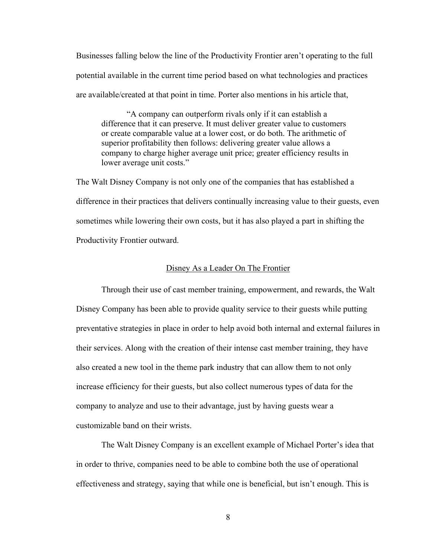Businesses falling below the line of the Productivity Frontier aren't operating to the full potential available in the current time period based on what technologies and practices are available/created at that point in time. Porter also mentions in his article that,

"A company can outperform rivals only if it can establish a difference that it can preserve. It must deliver greater value to customers or create comparable value at a lower cost, or do both. The arithmetic of superior profitability then follows: delivering greater value allows a company to charge higher average unit price; greater efficiency results in lower average unit costs."

The Walt Disney Company is not only one of the companies that has established a difference in their practices that delivers continually increasing value to their guests, even sometimes while lowering their own costs, but it has also played a part in shifting the Productivity Frontier outward.

#### Disney As a Leader On The Frontier

Through their use of cast member training, empowerment, and rewards, the Walt Disney Company has been able to provide quality service to their guests while putting preventative strategies in place in order to help avoid both internal and external failures in their services. Along with the creation of their intense cast member training, they have also created a new tool in the theme park industry that can allow them to not only increase efficiency for their guests, but also collect numerous types of data for the company to analyze and use to their advantage, just by having guests wear a customizable band on their wrists.

The Walt Disney Company is an excellent example of Michael Porter's idea that in order to thrive, companies need to be able to combine both the use of operational effectiveness and strategy, saying that while one is beneficial, but isn't enough. This is

8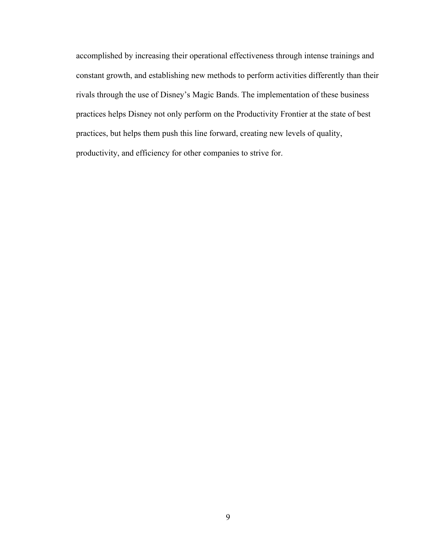accomplished by increasing their operational effectiveness through intense trainings and constant growth, and establishing new methods to perform activities differently than their rivals through the use of Disney's Magic Bands. The implementation of these business practices helps Disney not only perform on the Productivity Frontier at the state of best practices, but helps them push this line forward, creating new levels of quality, productivity, and efficiency for other companies to strive for.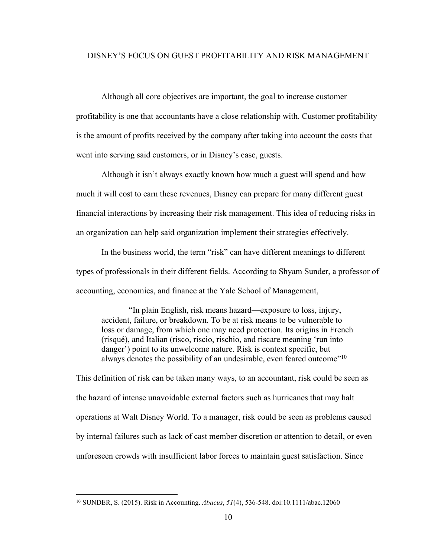## DISNEY'S FOCUS ON GUEST PROFITABILITY AND RISK MANAGEMENT

Although all core objectives are important, the goal to increase customer profitability is one that accountants have a close relationship with. Customer profitability is the amount of profits received by the company after taking into account the costs that went into serving said customers, or in Disney's case, guests.

Although it isn't always exactly known how much a guest will spend and how much it will cost to earn these revenues, Disney can prepare for many different guest financial interactions by increasing their risk management. This idea of reducing risks in an organization can help said organization implement their strategies effectively.

In the business world, the term "risk" can have different meanings to different types of professionals in their different fields. According to Shyam Sunder, a professor of accounting, economics, and finance at the Yale School of Management,

"In plain English, risk means hazard—exposure to loss, injury, accident, failure, or breakdown. To be at risk means to be vulnerable to loss or damage, from which one may need protection. Its origins in French (risqué), and Italian (risco, riscio, rischio, and riscare meaning 'run into danger') point to its unwelcome nature. Risk is context specific, but always denotes the possibility of an undesirable, even feared outcome<sup>"10</sup>

This definition of risk can be taken many ways, to an accountant, risk could be seen as the hazard of intense unavoidable external factors such as hurricanes that may halt operations at Walt Disney World. To a manager, risk could be seen as problems caused by internal failures such as lack of cast member discretion or attention to detail, or even unforeseen crowds with insufficient labor forces to maintain guest satisfaction. Since

 <sup>10</sup> SUNDER, S. (2015). Risk in Accounting. *Abacus*, *51*(4), 536-548. doi:10.1111/abac.12060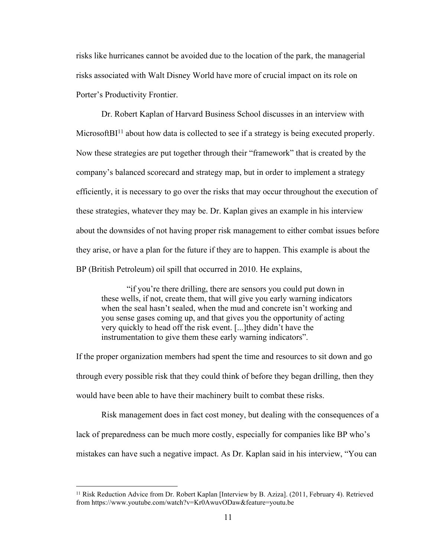risks like hurricanes cannot be avoided due to the location of the park, the managerial risks associated with Walt Disney World have more of crucial impact on its role on Porter's Productivity Frontier.

Dr. Robert Kaplan of Harvard Business School discusses in an interview with Microsoft $BI<sup>11</sup>$  about how data is collected to see if a strategy is being executed properly. Now these strategies are put together through their "framework" that is created by the company's balanced scorecard and strategy map, but in order to implement a strategy efficiently, it is necessary to go over the risks that may occur throughout the execution of these strategies, whatever they may be. Dr. Kaplan gives an example in his interview about the downsides of not having proper risk management to either combat issues before they arise, or have a plan for the future if they are to happen. This example is about the BP (British Petroleum) oil spill that occurred in 2010. He explains,

"if you're there drilling, there are sensors you could put down in these wells, if not, create them, that will give you early warning indicators when the seal hasn't sealed, when the mud and concrete isn't working and you sense gases coming up, and that gives you the opportunity of acting very quickly to head off the risk event. [...]they didn't have the instrumentation to give them these early warning indicators".

If the proper organization members had spent the time and resources to sit down and go through every possible risk that they could think of before they began drilling, then they would have been able to have their machinery built to combat these risks.

Risk management does in fact cost money, but dealing with the consequences of a lack of preparedness can be much more costly, especially for companies like BP who's mistakes can have such a negative impact. As Dr. Kaplan said in his interview, "You can

 <sup>11</sup> Risk Reduction Advice from Dr. Robert Kaplan [Interview by B. Aziza]. (2011, February 4). Retrieved from https://www.youtube.com/watch?v=Kr0AwuvODaw&feature=youtu.be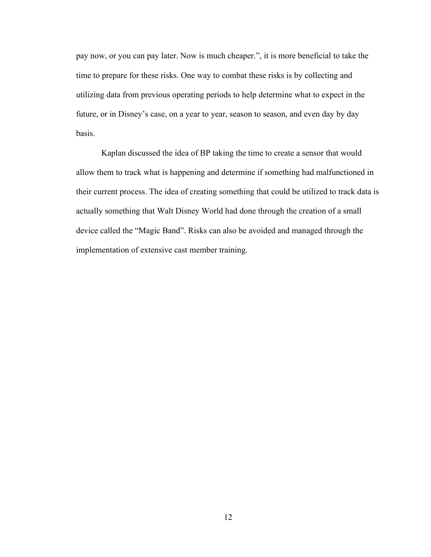pay now, or you can pay later. Now is much cheaper.", it is more beneficial to take the time to prepare for these risks. One way to combat these risks is by collecting and utilizing data from previous operating periods to help determine what to expect in the future, or in Disney's case, on a year to year, season to season, and even day by day basis.

Kaplan discussed the idea of BP taking the time to create a sensor that would allow them to track what is happening and determine if something had malfunctioned in their current process. The idea of creating something that could be utilized to track data is actually something that Walt Disney World had done through the creation of a small device called the "Magic Band". Risks can also be avoided and managed through the implementation of extensive cast member training.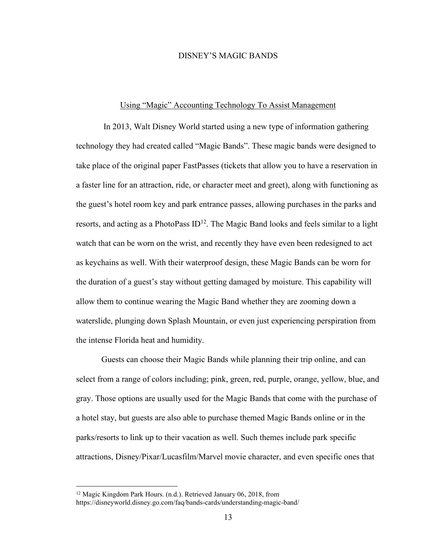#### DISNEY'S MAGIC BANDS

#### Using "Magic" Accounting Technology To Assist Management

In 2013, Walt Disney World started using a new type of information gathering technology they had created called "Magic Bands". These magic bands were designed to take place of the original paper FastPasses (tickets that allow you to have a reservation in a faster line for an attraction, ride, or character meet and greet), along with functioning as the guest's hotel room key and park entrance passes, allowing purchases in the parks and resorts, and acting as a PhotoPass  $ID<sup>12</sup>$ . The Magic Band looks and feels similar to a light watch that can be worn on the wrist, and recently they have even been redesigned to act as keychains as well. With their waterproof design, these Magic Bands can be worn for the duration of a guest's stay without getting damaged by moisture. This capability will allow them to continue wearing the Magic Band whether they are zooming down a waterslide, plunging down Splash Mountain, or even just experiencing perspiration from the intense Florida heat and humidity.

Guests can choose their Magic Bands while planning their trip online, and can select from a range of colors including; pink, green, red, purple, orange, yellow, blue, and gray. Those options are usually used for the Magic Bands that come with the purchase of a hotel stay, but guests are also able to purchase themed Magic Bands online or in the parks/resorts to link up to their vacation as well. Such themes include park specific attractions, Disney/Pixar/Lucasfilm/Marvel movie character, and even specific ones that

 <sup>12</sup> Magic Kingdom Park Hours. (n.d.). Retrieved January 06, 2018, from https://disneyworld.disney.go.com/faq/bands-cards/understanding-magic-band/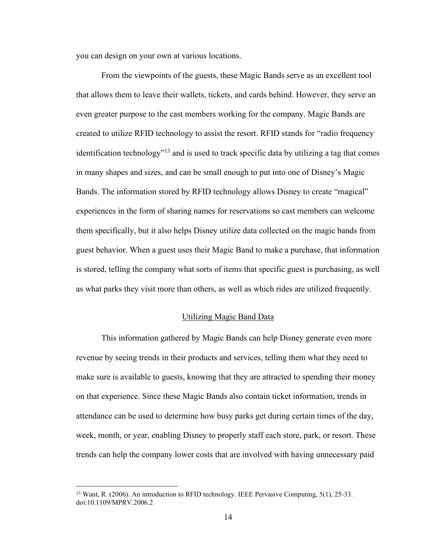you can design on your own at various locations.

From the viewpoints of the guests, these Magic Bands serve as an excellent tool that allows them to leave their wallets, tickets, and cards behind. However, they serve an even greater purpose to the cast members working for the company. Magic Bands are created to utilize RFID technology to assist the resort. RFID stands for "radio frequency identification technology"13 and is used to track specific data by utilizing a tag that comes in many shapes and sizes, and can be small enough to put into one of Disney's Magic Bands. The information stored by RFID technology allows Disney to create "magical" experiences in the form of sharing names for reservations so cast members can welcome them specifically, but it also helps Disney utilize data collected on the magic bands from guest behavior. When a guest uses their Magic Band to make a purchase, that information is stored, telling the company what sorts of items that specific guest is purchasing, as well as what parks they visit more than others, as well as which rides are utilized frequently.

#### Utilizing Magic Band Data

This information gathered by Magic Bands can help Disney generate even more revenue by seeing trends in their products and services, telling them what they need to make sure is available to guests, knowing that they are attracted to spending their money on that experience. Since these Magic Bands also contain ticket information, trends in attendance can be used to determine how busy parks get during certain times of the day, week, month, or year, enabling Disney to properly staff each store, park, or resort. These trends can help the company lower costs that are involved with having unnecessary paid

<sup>&</sup>lt;sup>13</sup> Want, R. (2006). An introduction to RFID technology. IEEE Pervasive Computing, 5(1), 25-33. doi:10.1109/MPRV.2006.2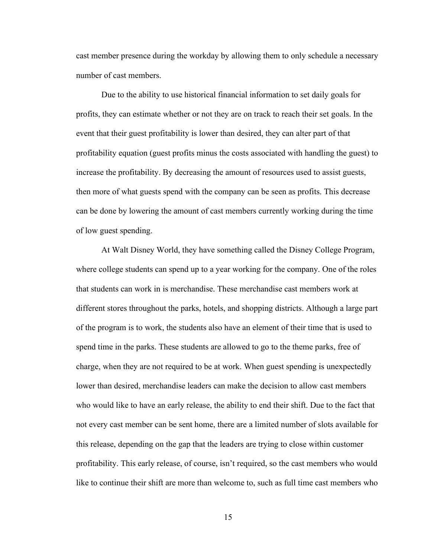cast member presence during the workday by allowing them to only schedule a necessary number of cast members.

Due to the ability to use historical financial information to set daily goals for profits, they can estimate whether or not they are on track to reach their set goals. In the event that their guest profitability is lower than desired, they can alter part of that profitability equation (guest profits minus the costs associated with handling the guest) to increase the profitability. By decreasing the amount of resources used to assist guests, then more of what guests spend with the company can be seen as profits. This decrease can be done by lowering the amount of cast members currently working during the time of low guest spending.

At Walt Disney World, they have something called the Disney College Program, where college students can spend up to a year working for the company. One of the roles that students can work in is merchandise. These merchandise cast members work at different stores throughout the parks, hotels, and shopping districts. Although a large part of the program is to work, the students also have an element of their time that is used to spend time in the parks. These students are allowed to go to the theme parks, free of charge, when they are not required to be at work. When guest spending is unexpectedly lower than desired, merchandise leaders can make the decision to allow cast members who would like to have an early release, the ability to end their shift. Due to the fact that not every cast member can be sent home, there are a limited number of slots available for this release, depending on the gap that the leaders are trying to close within customer profitability. This early release, of course, isn't required, so the cast members who would like to continue their shift are more than welcome to, such as full time cast members who

15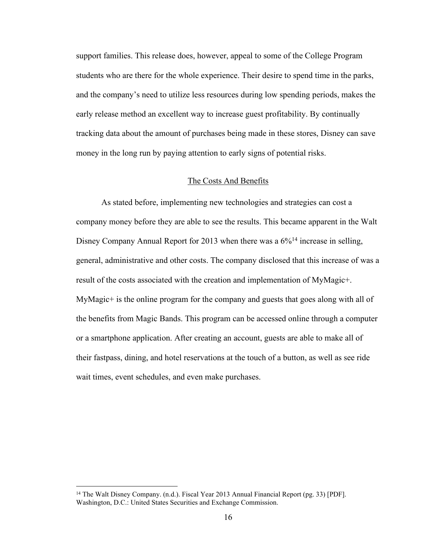support families. This release does, however, appeal to some of the College Program students who are there for the whole experience. Their desire to spend time in the parks, and the company's need to utilize less resources during low spending periods, makes the early release method an excellent way to increase guest profitability. By continually tracking data about the amount of purchases being made in these stores, Disney can save money in the long run by paying attention to early signs of potential risks.

#### The Costs And Benefits

As stated before, implementing new technologies and strategies can cost a company money before they are able to see the results. This became apparent in the Walt Disney Company Annual Report for 2013 when there was a  $6\frac{6}{14}$  increase in selling, general, administrative and other costs. The company disclosed that this increase of was a result of the costs associated with the creation and implementation of MyMagic+. MyMagic+ is the online program for the company and guests that goes along with all of the benefits from Magic Bands. This program can be accessed online through a computer or a smartphone application. After creating an account, guests are able to make all of their fastpass, dining, and hotel reservations at the touch of a button, as well as see ride wait times, event schedules, and even make purchases.

<sup>&</sup>lt;sup>14</sup> The Walt Disney Company. (n.d.). Fiscal Year 2013 Annual Financial Report (pg. 33) [PDF]. Washington, D.C.: United States Securities and Exchange Commission.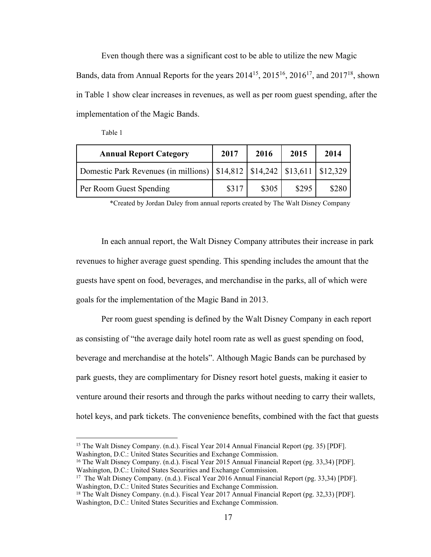Even though there was a significant cost to be able to utilize the new Magic Bands, data from Annual Reports for the years  $2014^{15}$ ,  $2015^{16}$ ,  $2016^{17}$ , and  $2017^{18}$ , shown in Table 1 show clear increases in revenues, as well as per room guest spending, after the implementation of the Magic Bands.

| <b>Annual Report Category</b>                                                    | 2017  | 2016  | 2015  | 2014  |
|----------------------------------------------------------------------------------|-------|-------|-------|-------|
| Domestic Park Revenues (in millions)   \$14,812   \$14,242   \$13,611   \$12,329 |       |       |       |       |
| Per Room Guest Spending                                                          | \$317 | \$305 | \$295 | \$280 |

Table 1

\*Created by Jordan Daley from annual reports created by The Walt Disney Company

In each annual report, the Walt Disney Company attributes their increase in park revenues to higher average guest spending. This spending includes the amount that the guests have spent on food, beverages, and merchandise in the parks, all of which were goals for the implementation of the Magic Band in 2013.

Per room guest spending is defined by the Walt Disney Company in each report as consisting of "the average daily hotel room rate as well as guest spending on food, beverage and merchandise at the hotels". Although Magic Bands can be purchased by park guests, they are complimentary for Disney resort hotel guests, making it easier to venture around their resorts and through the parks without needing to carry their wallets, hotel keys, and park tickets. The convenience benefits, combined with the fact that guests

<sup>15</sup> The Walt Disney Company. (n.d.). Fiscal Year 2014 Annual Financial Report (pg. 35) [PDF]. Washington, D.C.: United States Securities and Exchange Commission.

<sup>16</sup> The Walt Disney Company. (n.d.). Fiscal Year 2015 Annual Financial Report (pg. 33,34) [PDF]. Washington, D.C.: United States Securities and Exchange Commission.

<sup>17</sup> The Walt Disney Company. (n.d.). Fiscal Year 2016 Annual Financial Report (pg. 33,34) [PDF]. Washington, D.C.: United States Securities and Exchange Commission.

<sup>18</sup> The Walt Disney Company. (n.d.). Fiscal Year 2017 Annual Financial Report (pg. 32,33) [PDF]. Washington, D.C.: United States Securities and Exchange Commission.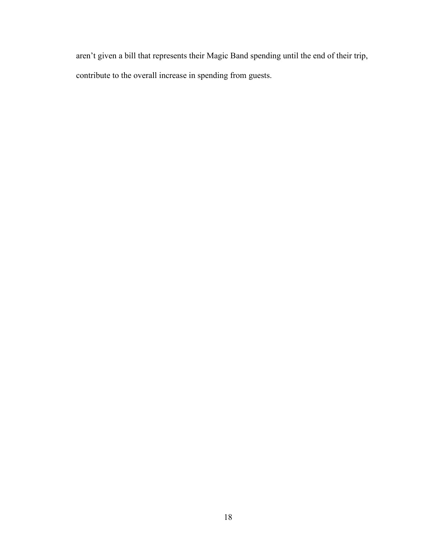aren't given a bill that represents their Magic Band spending until the end of their trip, contribute to the overall increase in spending from guests.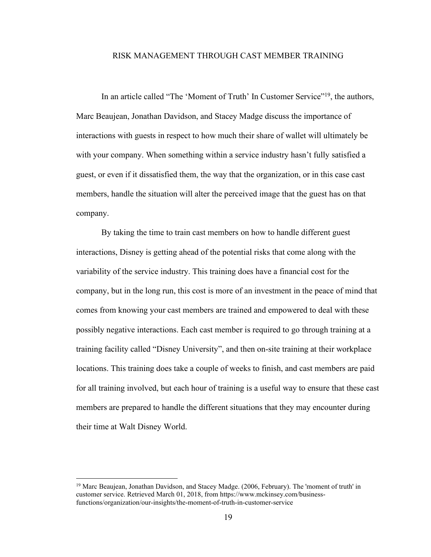#### RISK MANAGEMENT THROUGH CAST MEMBER TRAINING

In an article called "The 'Moment of Truth' In Customer Service"19, the authors, Marc Beaujean, Jonathan Davidson, and Stacey Madge discuss the importance of interactions with guests in respect to how much their share of wallet will ultimately be with your company. When something within a service industry hasn't fully satisfied a guest, or even if it dissatisfied them, the way that the organization, or in this case cast members, handle the situation will alter the perceived image that the guest has on that company.

By taking the time to train cast members on how to handle different guest interactions, Disney is getting ahead of the potential risks that come along with the variability of the service industry. This training does have a financial cost for the company, but in the long run, this cost is more of an investment in the peace of mind that comes from knowing your cast members are trained and empowered to deal with these possibly negative interactions. Each cast member is required to go through training at a training facility called "Disney University", and then on-site training at their workplace locations. This training does take a couple of weeks to finish, and cast members are paid for all training involved, but each hour of training is a useful way to ensure that these cast members are prepared to handle the different situations that they may encounter during their time at Walt Disney World.

 <sup>19</sup> Marc Beaujean, Jonathan Davidson, and Stacey Madge. (2006, February). The 'moment of truth' in customer service. Retrieved March 01, 2018, from https://www.mckinsey.com/businessfunctions/organization/our-insights/the-moment-of-truth-in-customer-service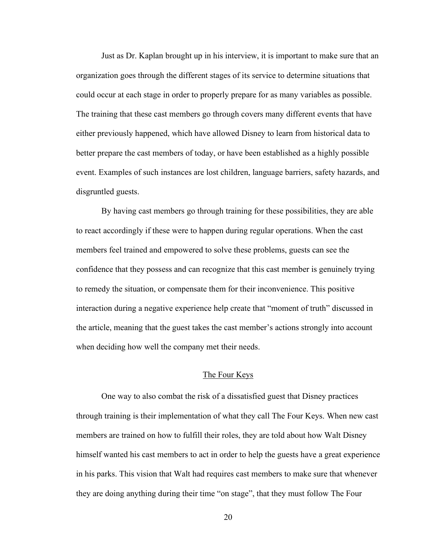Just as Dr. Kaplan brought up in his interview, it is important to make sure that an organization goes through the different stages of its service to determine situations that could occur at each stage in order to properly prepare for as many variables as possible. The training that these cast members go through covers many different events that have either previously happened, which have allowed Disney to learn from historical data to better prepare the cast members of today, or have been established as a highly possible event. Examples of such instances are lost children, language barriers, safety hazards, and disgruntled guests.

By having cast members go through training for these possibilities, they are able to react accordingly if these were to happen during regular operations. When the cast members feel trained and empowered to solve these problems, guests can see the confidence that they possess and can recognize that this cast member is genuinely trying to remedy the situation, or compensate them for their inconvenience. This positive interaction during a negative experience help create that "moment of truth" discussed in the article, meaning that the guest takes the cast member's actions strongly into account when deciding how well the company met their needs.

#### The Four Keys

One way to also combat the risk of a dissatisfied guest that Disney practices through training is their implementation of what they call The Four Keys. When new cast members are trained on how to fulfill their roles, they are told about how Walt Disney himself wanted his cast members to act in order to help the guests have a great experience in his parks. This vision that Walt had requires cast members to make sure that whenever they are doing anything during their time "on stage", that they must follow The Four

20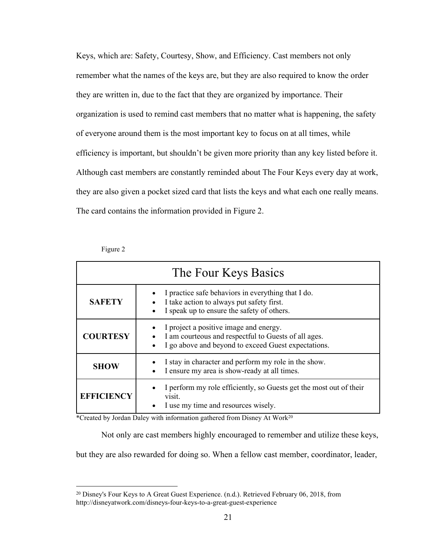Keys, which are: Safety, Courtesy, Show, and Efficiency. Cast members not only remember what the names of the keys are, but they are also required to know the order they are written in, due to the fact that they are organized by importance. Their organization is used to remind cast members that no matter what is happening, the safety of everyone around them is the most important key to focus on at all times, while efficiency is important, but shouldn't be given more priority than any key listed before it. Although cast members are constantly reminded about The Four Keys every day at work, they are also given a pocket sized card that lists the keys and what each one really means. The card contains the information provided in Figure 2.

| The Four Keys Basics |                                                                                                                                                            |  |  |
|----------------------|------------------------------------------------------------------------------------------------------------------------------------------------------------|--|--|
| <b>SAFETY</b>        | I practice safe behaviors in everything that I do.<br>I take action to always put safety first.<br>I speak up to ensure the safety of others.<br>$\bullet$ |  |  |
| <b>COURTESY</b>      | I project a positive image and energy.<br>I am courteous and respectful to Guests of all ages.<br>I go above and beyond to exceed Guest expectations.      |  |  |
| <b>SHOW</b>          | I stay in character and perform my role in the show.<br>I ensure my area is show-ready at all times.                                                       |  |  |
| <b>EFFICIENCY</b>    | I perform my role efficiently, so Guests get the most out of their<br>visit.<br>I use my time and resources wisely.                                        |  |  |

Figure 2

\*Created by Jordan Daley with information gathered from Disney At Work<sup>20</sup>

Not only are cast members highly encouraged to remember and utilize these keys,

but they are also rewarded for doing so. When a fellow cast member, coordinator, leader,

 <sup>20</sup> Disney's Four Keys to A Great Guest Experience. (n.d.). Retrieved February 06, 2018, from http://disneyatwork.com/disneys-four-keys-to-a-great-guest-experience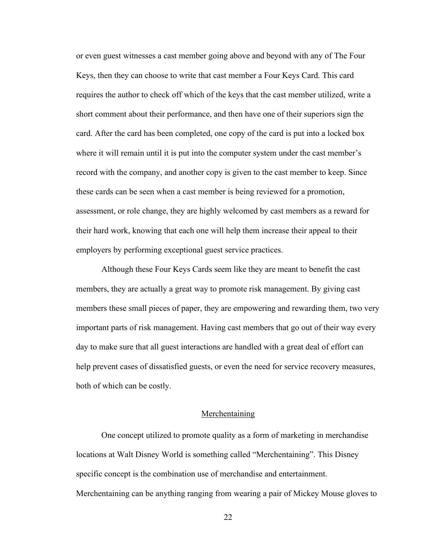or even guest witnesses a cast member going above and beyond with any of The Four Keys, then they can choose to write that cast member a Four Keys Card. This card requires the author to check off which of the keys that the cast member utilized, write a short comment about their performance, and then have one of their superiors sign the card. After the card has been completed, one copy of the card is put into a locked box where it will remain until it is put into the computer system under the cast member's record with the company, and another copy is given to the cast member to keep. Since these cards can be seen when a cast member is being reviewed for a promotion, assessment, or role change, they are highly welcomed by cast members as a reward for their hard work, knowing that each one will help them increase their appeal to their employers by performing exceptional guest service practices.

Although these Four Keys Cards seem like they are meant to benefit the cast members, they are actually a great way to promote risk management. By giving cast members these small pieces of paper, they are empowering and rewarding them, two very important parts of risk management. Having cast members that go out of their way every day to make sure that all guest interactions are handled with a great deal of effort can help prevent cases of dissatisfied guests, or even the need for service recovery measures, both of which can be costly.

#### Merchentaining

One concept utilized to promote quality as a form of marketing in merchandise locations at Walt Disney World is something called "Merchentaining". This Disney specific concept is the combination use of merchandise and entertainment. Merchentaining can be anything ranging from wearing a pair of Mickey Mouse gloves to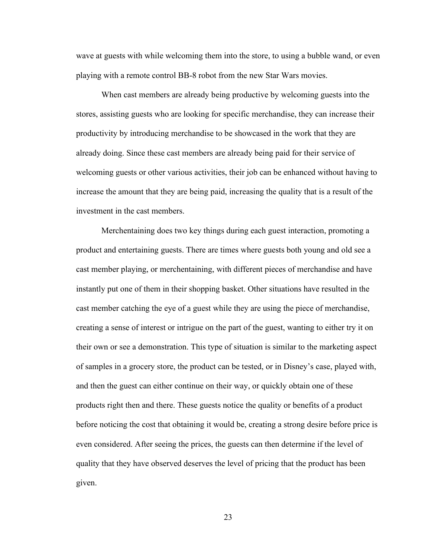wave at guests with while welcoming them into the store, to using a bubble wand, or even playing with a remote control BB-8 robot from the new Star Wars movies.

When cast members are already being productive by welcoming guests into the stores, assisting guests who are looking for specific merchandise, they can increase their productivity by introducing merchandise to be showcased in the work that they are already doing. Since these cast members are already being paid for their service of welcoming guests or other various activities, their job can be enhanced without having to increase the amount that they are being paid, increasing the quality that is a result of the investment in the cast members.

Merchentaining does two key things during each guest interaction, promoting a product and entertaining guests. There are times where guests both young and old see a cast member playing, or merchentaining, with different pieces of merchandise and have instantly put one of them in their shopping basket. Other situations have resulted in the cast member catching the eye of a guest while they are using the piece of merchandise, creating a sense of interest or intrigue on the part of the guest, wanting to either try it on their own or see a demonstration. This type of situation is similar to the marketing aspect of samples in a grocery store, the product can be tested, or in Disney's case, played with, and then the guest can either continue on their way, or quickly obtain one of these products right then and there. These guests notice the quality or benefits of a product before noticing the cost that obtaining it would be, creating a strong desire before price is even considered. After seeing the prices, the guests can then determine if the level of quality that they have observed deserves the level of pricing that the product has been given.

23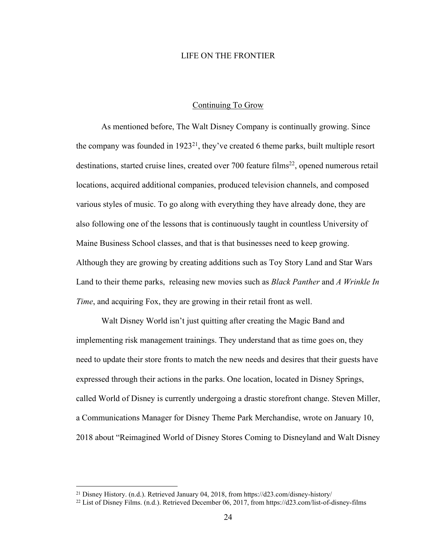#### LIFE ON THE FRONTIER

#### Continuing To Grow

As mentioned before, The Walt Disney Company is continually growing. Since the company was founded in  $1923^{21}$ , they've created 6 theme parks, built multiple resort destinations, started cruise lines, created over 700 feature films<sup>22</sup>, opened numerous retail locations, acquired additional companies, produced television channels, and composed various styles of music. To go along with everything they have already done, they are also following one of the lessons that is continuously taught in countless University of Maine Business School classes, and that is that businesses need to keep growing. Although they are growing by creating additions such as Toy Story Land and Star Wars Land to their theme parks, releasing new movies such as *Black Panther* and *A Wrinkle In Time*, and acquiring Fox, they are growing in their retail front as well.

Walt Disney World isn't just quitting after creating the Magic Band and implementing risk management trainings. They understand that as time goes on, they need to update their store fronts to match the new needs and desires that their guests have expressed through their actions in the parks. One location, located in Disney Springs, called World of Disney is currently undergoing a drastic storefront change. Steven Miller, a Communications Manager for Disney Theme Park Merchandise, wrote on January 10, 2018 about "Reimagined World of Disney Stores Coming to Disneyland and Walt Disney

 <sup>21</sup> Disney History. (n.d.). Retrieved January 04, 2018, from https://d23.com/disney-history/

<sup>22</sup> List of Disney Films. (n.d.). Retrieved December 06, 2017, from https://d23.com/list-of-disney-films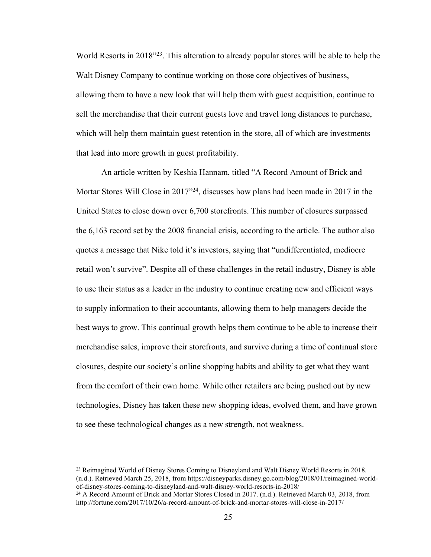World Resorts in 2018<sup>"23</sup>. This alteration to already popular stores will be able to help the Walt Disney Company to continue working on those core objectives of business, allowing them to have a new look that will help them with guest acquisition, continue to sell the merchandise that their current guests love and travel long distances to purchase, which will help them maintain guest retention in the store, all of which are investments that lead into more growth in guest profitability.

An article written by Keshia Hannam, titled "A Record Amount of Brick and Mortar Stores Will Close in 2017"24, discusses how plans had been made in 2017 in the United States to close down over 6,700 storefronts. This number of closures surpassed the 6,163 record set by the 2008 financial crisis, according to the article. The author also quotes a message that Nike told it's investors, saying that "undifferentiated, mediocre retail won't survive". Despite all of these challenges in the retail industry, Disney is able to use their status as a leader in the industry to continue creating new and efficient ways to supply information to their accountants, allowing them to help managers decide the best ways to grow. This continual growth helps them continue to be able to increase their merchandise sales, improve their storefronts, and survive during a time of continual store closures, despite our society's online shopping habits and ability to get what they want from the comfort of their own home. While other retailers are being pushed out by new technologies, Disney has taken these new shopping ideas, evolved them, and have grown to see these technological changes as a new strength, not weakness.

 <sup>23</sup> Reimagined World of Disney Stores Coming to Disneyland and Walt Disney World Resorts in 2018. (n.d.). Retrieved March 25, 2018, from https://disneyparks.disney.go.com/blog/2018/01/reimagined-worldof-disney-stores-coming-to-disneyland-and-walt-disney-world-resorts-in-2018/

<sup>&</sup>lt;sup>24</sup> A Record Amount of Brick and Mortar Stores Closed in 2017. (n.d.). Retrieved March 03, 2018, from http://fortune.com/2017/10/26/a-record-amount-of-brick-and-mortar-stores-will-close-in-2017/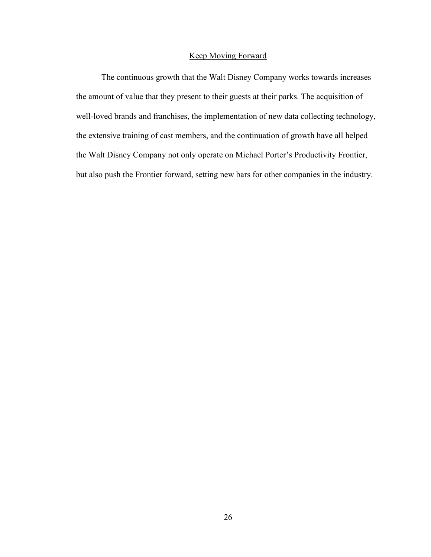## Keep Moving Forward

The continuous growth that the Walt Disney Company works towards increases the amount of value that they present to their guests at their parks. The acquisition of well-loved brands and franchises, the implementation of new data collecting technology, the extensive training of cast members, and the continuation of growth have all helped the Walt Disney Company not only operate on Michael Porter's Productivity Frontier, but also push the Frontier forward, setting new bars for other companies in the industry.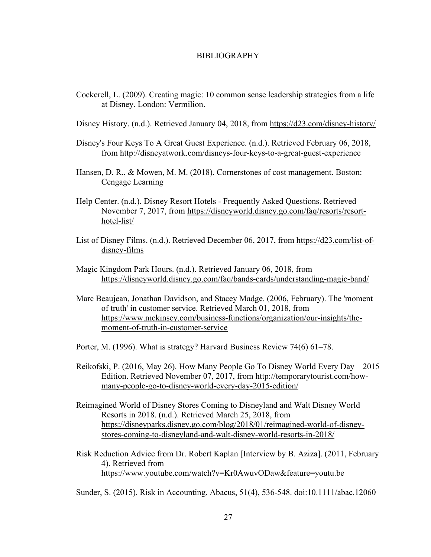#### BIBLIOGRAPHY

Cockerell, L. (2009). Creating magic: 10 common sense leadership strategies from a life at Disney. London: Vermilion.

Disney History. (n.d.). Retrieved January 04, 2018, from https://d23.com/disney-history/

- Disney's Four Keys To A Great Guest Experience. (n.d.). Retrieved February 06, 2018, from http://disneyatwork.com/disneys-four-keys-to-a-great-guest-experience
- Hansen, D. R., & Mowen, M. M. (2018). Cornerstones of cost management. Boston: Cengage Learning
- Help Center. (n.d.). Disney Resort Hotels Frequently Asked Questions. Retrieved November 7, 2017, from https://disneyworld.disney.go.com/faq/resorts/resorthotel-list/
- List of Disney Films. (n.d.). Retrieved December 06, 2017, from https://d23.com/list-ofdisney-films
- Magic Kingdom Park Hours. (n.d.). Retrieved January 06, 2018, from https://disneyworld.disney.go.com/faq/bands-cards/understanding-magic-band/
- Marc Beaujean, Jonathan Davidson, and Stacey Madge. (2006, February). The 'moment of truth' in customer service. Retrieved March 01, 2018, from https://www.mckinsey.com/business-functions/organization/our-insights/themoment-of-truth-in-customer-service
- Porter, M. (1996). What is strategy? Harvard Business Review 74(6) 61–78.
- Reikofski, P. (2016, May 26). How Many People Go To Disney World Every Day 2015 Edition. Retrieved November 07, 2017, from http://temporarytourist.com/howmany-people-go-to-disney-world-every-day-2015-edition/
- Reimagined World of Disney Stores Coming to Disneyland and Walt Disney World Resorts in 2018. (n.d.). Retrieved March 25, 2018, from https://disneyparks.disney.go.com/blog/2018/01/reimagined-world-of-disneystores-coming-to-disneyland-and-walt-disney-world-resorts-in-2018/
- Risk Reduction Advice from Dr. Robert Kaplan [Interview by B. Aziza]. (2011, February 4). Retrieved from https://www.youtube.com/watch?v=Kr0AwuvODaw&feature=youtu.be

Sunder, S. (2015). Risk in Accounting. Abacus, 51(4), 536-548. doi:10.1111/abac.12060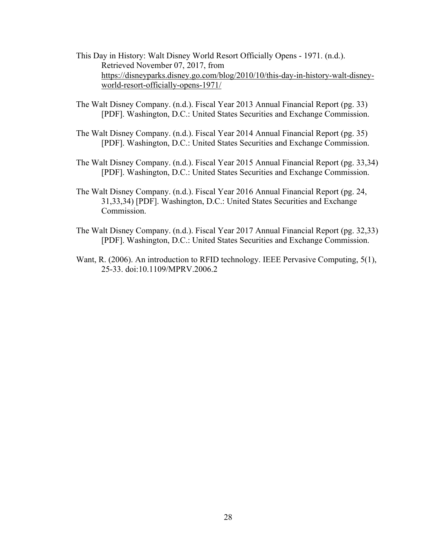- This Day in History: Walt Disney World Resort Officially Opens 1971. (n.d.). Retrieved November 07, 2017, from https://disneyparks.disney.go.com/blog/2010/10/this-day-in-history-walt-disneyworld-resort-officially-opens-1971/
- The Walt Disney Company. (n.d.). Fiscal Year 2013 Annual Financial Report (pg. 33) [PDF]. Washington, D.C.: United States Securities and Exchange Commission.
- The Walt Disney Company. (n.d.). Fiscal Year 2014 Annual Financial Report (pg. 35) [PDF]. Washington, D.C.: United States Securities and Exchange Commission.
- The Walt Disney Company. (n.d.). Fiscal Year 2015 Annual Financial Report (pg. 33,34) [PDF]. Washington, D.C.: United States Securities and Exchange Commission.
- The Walt Disney Company. (n.d.). Fiscal Year 2016 Annual Financial Report (pg. 24, 31,33,34) [PDF]. Washington, D.C.: United States Securities and Exchange Commission.
- The Walt Disney Company. (n.d.). Fiscal Year 2017 Annual Financial Report (pg. 32,33) [PDF]. Washington, D.C.: United States Securities and Exchange Commission.
- Want, R. (2006). An introduction to RFID technology. IEEE Pervasive Computing, 5(1), 25-33. doi:10.1109/MPRV.2006.2